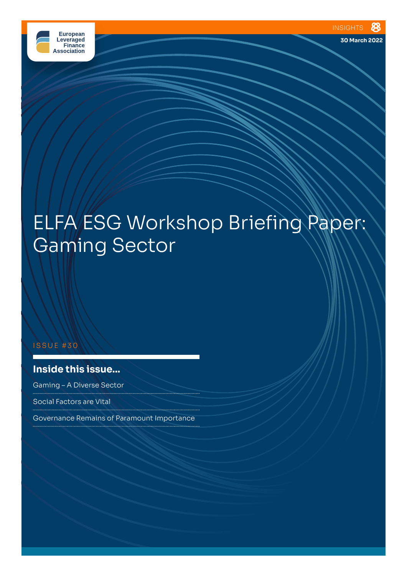

**30 March 2022**

# ELFA ESG Workshop Briefing Paper: Gaming Sector

#### ISSUE #30

# **Inside this issue...**

Gaming – A Diverse Sector

Social Factors are Vital 

Governance Remains of Paramount Importance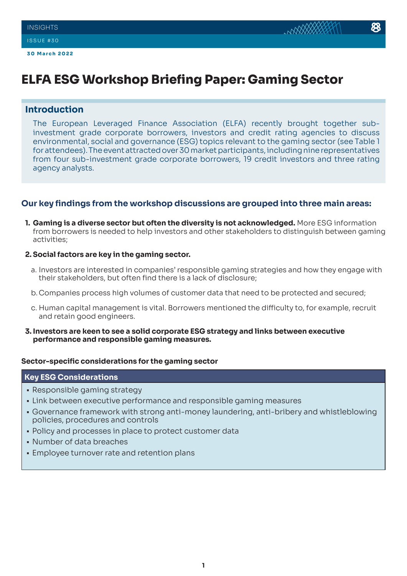# **ELFA ESG Workshop Briefing Paper: Gaming Sector**

# **Introduction**

The European Leveraged Finance Association (ELFA) recently brought together subinvestment grade corporate borrowers, investors and credit rating agencies to discuss environmental, social and governance (ESG) topics relevant to the gaming sector (see Table 1 for attendees). The event attracted over 30 market participants, including nine representatives from four sub-investment grade corporate borrowers, 19 credit investors and three rating agency analysts.

# **Our key findings from the workshop discussions are grouped into three main areas:**

**1. Gaming is a diverse sector but often the diversity is not acknowledged.** More ESG information from borrowers is needed to help investors and other stakeholders to distinguish between gaming activities;

### **2. Social factors are key in the gaming sector.**

- a. Investors are interested in companies' responsible gaming strategies and how they engage with their stakeholders, but often find there is a lack of disclosure;
- b.Companies process high volumes of customer data that need to be protected and secured;
- c. Human capital management is vital. Borrowers mentioned the difficulty to, for example, recruit and retain good engineers.
- **3. Investors are keen to see a solid corporate ESG strategy and links between executive performance and responsible gaming measures.**

### **Sector-specific considerations for the gaming sector**

### **Key ESG Considerations**

- Responsible gaming strategy
- Link between executive performance and responsible gaming measures
- Governance framework with strong anti-money laundering, anti-bribery and whistleblowing policies, procedures and controls
- Policy and processes in place to protect customer data
- Number of data breaches
- Employee turnover rate and retention plans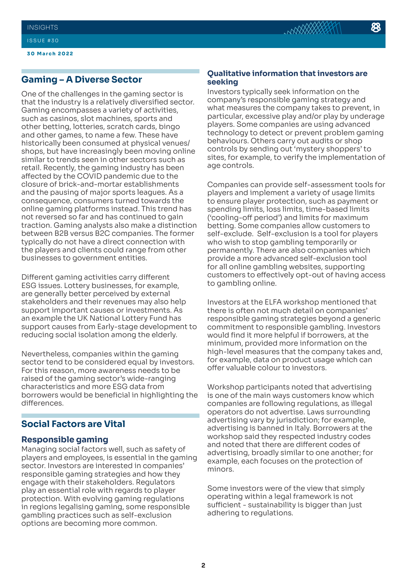#### ISSUE #30

**30 March 2022**

# **Gaming – A Diverse Sector**

One of the challenges in the gaming sector is that the industry is a relatively diversified sector. Gaming encompasses a variety of activities, such as casinos, slot machines, sports and other betting, lotteries, scratch cards, bingo and other games, to name a few. These have historically been consumed at physical venues/ shops, but have increasingly been moving online similar to trends seen in other sectors such as retail. Recently, the gaming industry has been affected by the COVID pandemic due to the closure of brick-and-mortar establishments and the pausing of major sports leagues. As a consequence, consumers turned towards the online gaming platforms instead. This trend has not reversed so far and has continued to gain traction. Gaming analysts also make a distinction between B2B versus B2C companies. The former typically do not have a direct connection with the players and clients could range from other businesses to government entities.

Different gaming activities carry different ESG issues. Lottery businesses, for example, are generally better perceived by external stakeholders and their revenues may also help support important causes or investments. As an example the UK National Lottery Fund has support causes from Early-stage development to reducing social isolation among the elderly.

Nevertheless, companies within the gaming sector tend to be considered equal by investors. For this reason, more awareness needs to be raised of the gaming sector's wide-ranging characteristics and more ESG data from borrowers would be beneficial in highlighting the differences.

# **Social Factors are Vital**

# **Responsible gaming**

Managing social factors well, such as safety of players and employees, is essential in the gaming sector. Investors are interested in companies' responsible gaming strategies and how they engage with their stakeholders. Regulators play an essential role with regards to player protection. With evolving gaming regulations in regions legalising gaming, some responsible gambling practices such as self-exclusion options are becoming more common.

## **Qualitative information that investors are seeking**

Investors typically seek information on the company's responsible gaming strategy and what measures the company takes to prevent, in particular, excessive play and/or play by underage players. Some companies are using advanced technology to detect or prevent problem gaming behaviours. Others carry out audits or shop controls by sending out 'mystery shoppers' to sites, for example, to verify the implementation of age controls.

Companies can provide self-assessment tools for players and implement a variety of usage limits to ensure player protection, such as payment or spending limits, loss limits, time-based limits ('cooling-off period') and limits for maximum betting. Some companies allow customers to self-exclude. Self-exclusion is a tool for players who wish to stop gambling temporarily or permanently. There are also companies which provide a more advanced self-exclusion tool for all online gambling websites, supporting customers to effectively opt-out of having access to gambling online.

Investors at the ELFA workshop mentioned that there is often not much detail on companies' responsible gaming strategies beyond a generic commitment to responsible gambling. Investors would find it more helpful if borrowers, at the minimum, provided more information on the high-level measures that the company takes and, for example, data on product usage which can offer valuable colour to investors.

Workshop participants noted that advertising is one of the main ways customers know which companies are following regulations, as illegal operators do not advertise. Laws surrounding advertising vary by jurisdiction; for example, advertising is banned in Italy. Borrowers at the workshop said they respected industry codes and noted that there are different codes of advertising, broadly similar to one another; for example, each focuses on the protection of minors.

Some investors were of the view that simply operating within a legal framework is not sufficient - sustainability is bigger than just adhering to regulations.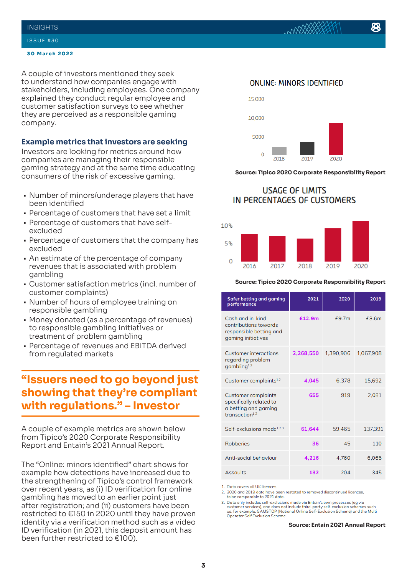#### **INSIGHTS**

#### ISSUE #30

#### **30 March 2022**

A couple of investors mentioned they seek to understand how companies engage with stakeholders, including employees. One company explained they conduct regular employee and customer satisfaction surveys to see whether they are perceived as a responsible gaming company.

#### **Example metrics that investors are seeking**

Investors are looking for metrics around how companies are managing their responsible gaming strategy and at the same time educating consumers of the risk of excessive gaming.

- Number of minors/underage players that have been identified
- Percentage of customers that have set a limit
- Percentage of customers that have selfexcluded
- Percentage of customers that the company has excluded
- An estimate of the percentage of company revenues that is associated with problem gambling
- Customer satisfaction metrics (incl. number of customer complaints)
- Number of hours of employee training on responsible gambling
- Money donated (as a percentage of revenues) to responsible gambling initiatives or treatment of problem gambling
- Percentage of revenues and EBITDA derived from regulated markets

# **"Issuers need to go beyond just showing that they're compliant with regulations." – Investor**

A couple of example metrics are shown below from Tipico's 2020 Corporate Responsibility Report and Entain's 2021 Annual Report.

The "Online: minors identified" chart shows for example how detections have increased due to the strengthening of Tipico's control framework over recent years, as (i) ID verification for online gambling has moved to an earlier point just after registration; and (ii) customers have been restricted to €150 in 2020 until they have proven identity via a verification method such as a video ID verification (in 2021, this deposit amount has been further restricted to €100).

#### **ONLINE: MINORS IDENTIFIED**



#### **Source: Tipico 2020 Corporate Responsibility Report**

# **USAGE OF LIMITS** IN PERCENTAGES OF CUSTOMERS



#### **Source: Tipico 2020 Corporate Responsibility Report**

| <b>Safer betting and gaming</b><br>performance                                                              | 2021      | 2020      | 2019      |
|-------------------------------------------------------------------------------------------------------------|-----------|-----------|-----------|
| Cash and in-kind<br>contributions towards<br>responsible betting and<br>gaming initiatives                  | £12.9m    | f9.7m     | £3.6m     |
| <b>Customer interactions</b><br>regarding problem<br>gambling <sup>1,2</sup>                                | 2,268,550 | 1,390,906 | 1,067,908 |
| Customer complaints <sup>1,2</sup>                                                                          | 4.045     | 6.378     | 15.692    |
| <b>Customer complaints</b><br>specifically related to<br>a betting and gaming<br>transaction <sup>1,2</sup> | 655       | 919       | 2.031     |
| Self-exclusions made <sup>1,2,3</sup>                                                                       | 61.644    | 59.465    | 137.391   |
| <b>Robberies</b>                                                                                            | 36        | 45        | 110       |
| Anti-social behaviour                                                                                       | 4,216     | 4.760     | 6.065     |
| Assaults                                                                                                    | 132       | 204       | 345       |

1. Data covers all UK licences.

2. 2020 and 2019 data have been restated to removed discontinued licences. to be comparable to 2021 data.

3. Data only includes self-exclusions made via Entain's own processes (eg via<br>customer services), and does not include third-party self-exclusion schemes such<br>as, for example, GAMSTOP (National Online Self-Exclusion Scheme Operator Self Exclusion Scheme

#### **Source: Entain 2021 Annual Report**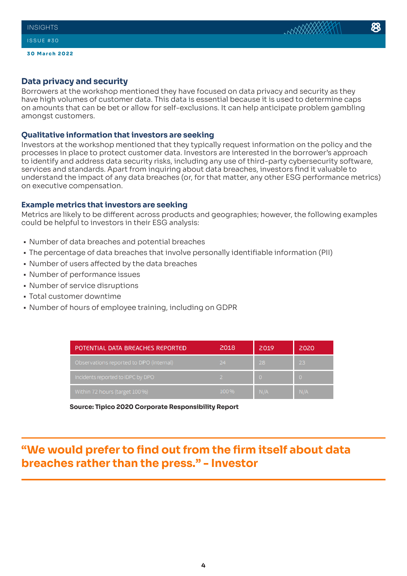# **Data privacy and security**

Borrowers at the workshop mentioned they have focused on data privacy and security as they have high volumes of customer data. This data is essential because it is used to determine caps on amounts that can be bet or allow for self-exclusions. It can help anticipate problem gambling amongst customers.

## **Qualitative information that investors are seeking**

Investors at the workshop mentioned that they typically request information on the policy and the processes in place to protect customer data. Investors are interested in the borrower's approach to identify and address data security risks, including any use of third-party cybersecurity software, services and standards. Apart from inquiring about data breaches, investors find it valuable to understand the impact of any data breaches (or, for that matter, any other ESG performance metrics) on executive compensation.

# **Example metrics that investors are seeking**

Metrics are likely to be different across products and geographies; however, the following examples could be helpful to investors in their ESG analysis:

- Number of data breaches and potential breaches
- The percentage of data breaches that involve personally identifiable information (PII)
- Number of users affected by the data breaches
- Number of performance issues
- Number of service disruptions
- Total customer downtime
- Number of hours of employee training, including on GDPR

| POTENTIAL DATA BREACHES REPORTED        | 2018 | 2019 | 2020     |
|-----------------------------------------|------|------|----------|
| Observations reported to DPO (internal) | 24   | 28   | 23       |
| Incidents reported to IDPC by DPO       |      |      | $\Omega$ |
| Within 72 hours (target 100 %)          | 100% | N/A  | N/A      |

**Source: Tipico 2020 Corporate Responsibility Report**

# **"We would prefer to find out from the firm itself about data breaches rather than the press." - Investor**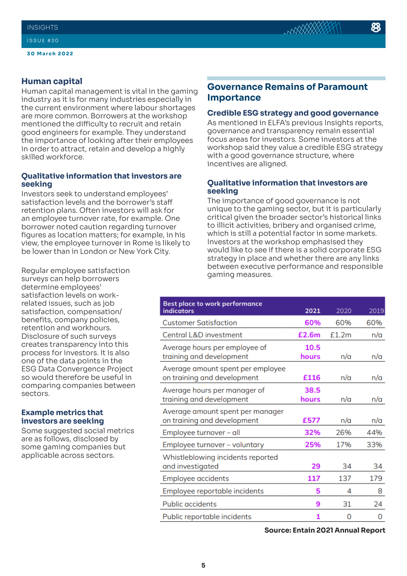**30 March 2022**

# **Human capital**

Human capital management is vital in the gaming industry as it is for many industries especially in the current environment where labour shortages are more common. Borrowers at the workshop mentioned the difficulty to recruit and retain good engineers for example. They understand the importance of looking after their employees in order to attract, retain and develop a highly skilled workforce.

### **Qualitative information that investors are seeking**

Investors seek to understand employees' satisfaction levels and the borrower's staff retention plans. Often investors will ask for an employee turnover rate, for example. One borrower noted caution regarding turnover figures as location matters; for example, in his view, the employee turnover in Rome is likely to be lower than in London or New York City.

Regular employee satisfaction surveys can help borrowers determine employees' satisfaction levels on workrelated issues, such as job satisfaction, compensation/ benefits, company policies, retention and workhours. Disclosure of such surveys creates transparency into this process for investors. It is also one of the data points in the ESG Data Convergence Project so would therefore be useful in comparing companies between sectors.

#### **Example metrics that investors are seeking**

Some suggested social metrics are as follows, disclosed by some gaming companies but applicable across sectors.

# **Governance Remains of Paramount Importance**

#### **Credible ESG strategy and good governance**

As mentioned in ELFA's previous Insights reports, governance and transparency remain essential focus areas for investors. Some investors at the workshop said they value a credible ESG strategy with a good governance structure, where incentives are aligned.

## **Qualitative information that investors are seeking**

The importance of good governance is not unique to the gaming sector, but it is particularly critical given the broader sector's historical links to illicit activities, bribery and organised crime, which is still a potential factor in some markets. Investors at the workshop emphasised they would like to see if there is a solid corporate ESG strategy in place and whether there are any links between executive performance and responsible gaming measures.

| <b>Best place to work performance</b><br>indicators              | 2021          | 2020  | 2019 |
|------------------------------------------------------------------|---------------|-------|------|
| <b>Customer Satisfaction</b>                                     | 60%           | 60%   | 60%  |
| Central L&D investment                                           | £2.6m         | £1.2m | n/a  |
| Average hours per employee of<br>training and development        | 10.5<br>hours | n/a   | n/a  |
| Average amount spent per employee<br>on training and development | £116          | n/a   | n/a  |
| Average hours per manager of<br>training and development         | 38.5<br>hours | n/a   | n/a  |
| Average amount spent per manager<br>on training and development  | £577          | n/a   | n/a  |
| Employee turnover - all                                          | 32%           | 26%   | 44%  |
| Employee turnover - voluntary                                    | 25%           | 17%   | 33%  |
| Whistleblowing incidents reported<br>and investigated            | 29            | 34    | 34   |
| Employee accidents                                               | 117           | 137   | 179  |
| Employee reportable incidents                                    | 5             | 4     | 8    |
| <b>Public accidents</b>                                          | 9             | 31    | 24   |
| Public reportable incidents                                      | 1             | 0     | 0    |

**Source: Entain 2021 Annual Report**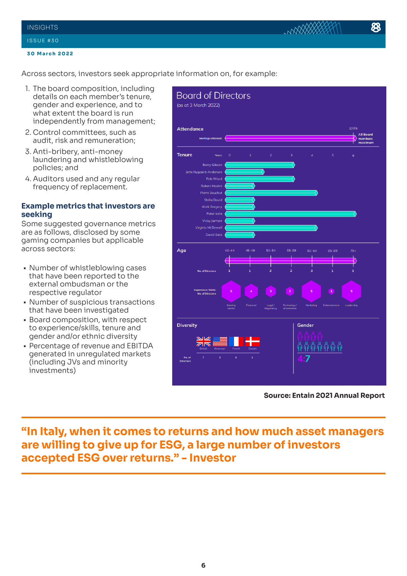#### **INSIGHTS**

#### **30 March 2022**

Across sectors, investors seek appropriate information on, for example:

- 1. The board composition, including details on each member's tenure, gender and experience, and to what extent the board is run independently from management;
- 2. Control committees, such as audit, risk and remuneration;
- 3. Anti-bribery, anti-money laundering and whistleblowing policies; and
- 4. Auditors used and any regular frequency of replacement.

# **Example metrics that investors are seeking**

Some suggested governance metrics are as follows, disclosed by some gaming companies but applicable across sectors:

- Number of whistleblowing cases that have been reported to the external ombudsman or the respective regulator
- Number of suspicious transactions that have been investigated
- Board composition, with respect to experience/skills, tenure and gender and/or ethnic diversity
- Percentage of revenue and EBITDA generated in unregulated markets (including JVs and minority investments)



**Source: Entain 2021 Annual Report**

# **"In Italy, when it comes to returns and how much asset managers are willing to give up for ESG, a large number of investors accepted ESG over returns." - Investor**